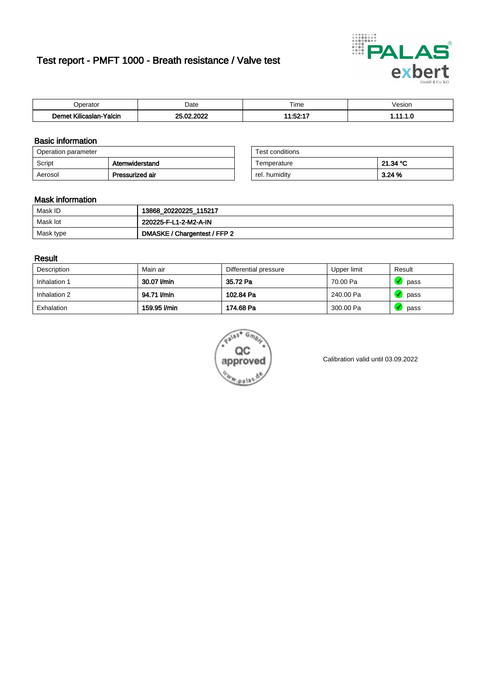# Test report - PMFT 1000 - Breath resistance / Valve test



| maxima                                  | Date              | $- \cdot$<br>Time<br>. | /esion<br>. |
|-----------------------------------------|-------------------|------------------------|-------------|
| <b>ALLES</b><br>Yalcin<br>ıslan<br>ulic | <b>COOL</b><br>n. | 14.EO.47<br>- -        | .           |

### Basic information

| Operation parameter |                 | Test conditions |          |
|---------------------|-----------------|-----------------|----------|
| Script              | Atemwiderstand  | Temperature     | 21.34 °C |
| Aerosol             | Pressurized air | rel. humidity   | 3.24 %   |

| Test conditions |          |
|-----------------|----------|
| Temperature     | 21.34 °C |
| rel. humidity   | 3.24%    |

#### Mask information

| Mask ID   | 13868_20220225_115217        |
|-----------|------------------------------|
| Mask lot  | 220225-F-L1-2-M2-A-IN        |
| Mask type | DMASKE / Chargentest / FFP 2 |

### Result

| Description  | Main air     | Differential pressure | Upper limit | Result |
|--------------|--------------|-----------------------|-------------|--------|
| Inhalation 1 | 30.07 l/min  | 35.72 Pa              | 70.00 Pa    | pass   |
| Inhalation 2 | 94.71 I/min  | 102.84 Pa             | 240.00 Pa   | pass   |
| Exhalation   | 159.95 l/min | 174.68 Pa             | 300.00 Pa   | pass   |



Calibration valid until 03.09.2022